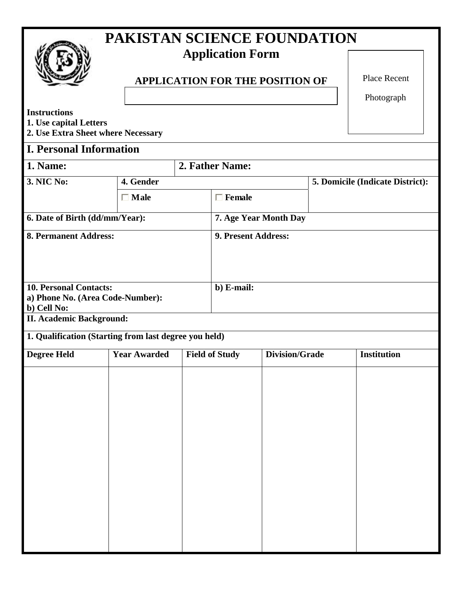|                                                                                     | PAKISTAN SCIENCE FOUNDATION                           |                                        |                     |                       |                                  |             |  |
|-------------------------------------------------------------------------------------|-------------------------------------------------------|----------------------------------------|---------------------|-----------------------|----------------------------------|-------------|--|
|                                                                                     |                                                       | <b>Application Form</b>                |                     |                       |                                  |             |  |
|                                                                                     |                                                       | <b>APPLICATION FOR THE POSITION OF</b> |                     |                       |                                  |             |  |
| <b>Instructions</b><br>1. Use capital Letters<br>2. Use Extra Sheet where Necessary |                                                       |                                        |                     |                       |                                  | Photograph  |  |
| <b>I. Personal Information</b>                                                      |                                                       |                                        |                     |                       |                                  |             |  |
| 1. Name:                                                                            |                                                       |                                        | 2. Father Name:     |                       |                                  |             |  |
| 3. NIC No:                                                                          | 4. Gender                                             |                                        |                     |                       | 5. Domicile (Indicate District): |             |  |
|                                                                                     | $\Box$ Male                                           |                                        | $\Box$ Female       |                       |                                  |             |  |
| 6. Date of Birth (dd/mm/Year):                                                      | 7. Age Year Month Day                                 |                                        |                     |                       |                                  |             |  |
| <b>8. Permanent Address:</b>                                                        |                                                       |                                        | 9. Present Address: |                       |                                  |             |  |
| <b>10. Personal Contacts:</b><br>a) Phone No. (Area Code-Number):<br>b) Cell No:    | b) E-mail:                                            |                                        |                     |                       |                                  |             |  |
| <b>II. Academic Background:</b>                                                     |                                                       |                                        |                     |                       |                                  |             |  |
|                                                                                     | 1. Qualification (Starting from last degree you held) |                                        |                     |                       |                                  |             |  |
| <b>Degree Held</b>                                                                  |                                                       | Year Awarded Field of Study            |                     | <b>Division/Grade</b> |                                  | Institution |  |
|                                                                                     |                                                       |                                        |                     |                       |                                  |             |  |